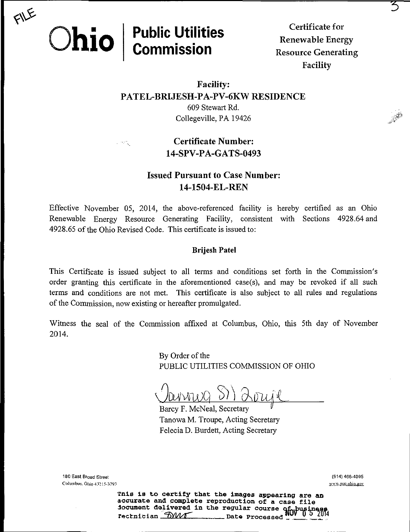

# Public Utilities

 $\mathcal{L}^{\text{max}}$ 

Renewable Energy<br>Resource Generating **COMMISSION** Resource Generating Facility

 $\ddot{\phantom{1}}$ 

## Facility: PATEL-BRIJESH-PA-PV-6KW RESIDENCE

609 Stewart Rd. Collegeville, PA 19426

## Certificate Number: 14-SPV-PA-GATS-0493

## **Issued Pursuant to Case Number:** 14-1504-EL-REN

Effective November 05, 2014, the above-referenced facility is hereby certified as an Ohio Renewable Energy Resource Generating Facility, consistent with Sections 4928.64 and 4928.65 of the Ohio Revised Code. This certificate is issued to;

#### Brijesh Patel

This Certificate is issued subject to all terms and conditions set forth in the Commission's order granting this certificate in the aforementioned case(s), and may be revoked if all such terms and conditions are not met. This certificate is also subject to all rules and regulations of the Commission, now existing or hereafter promulgated.

Witness the seal of the Commission affixed at Columbus, Ohio, this 5th day of November 2014.

> By Order of the PUBLIC UTILITIES COMMISSION OF OHIO

Barcy F. McNeal, Secretary Tanowa M. Troupe, Acting Secretary Felecia D. Burdett, Acting Secretary

180 East Broad Street (614) 466-4095 Columbus. Ohio 432 i5-3793 www.pue.obio.gov

Tnis is to certify that the images appearing are an accurate and complete reproduction of a case file document delivered in the regular course Q£..busin68S **rection.** Date Processed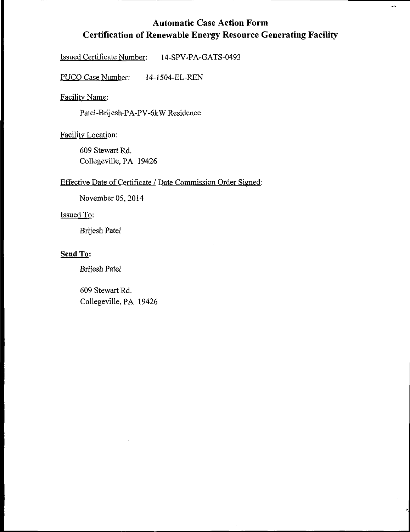## Automatic Case Action Form Certification of Renewable Energy Resource Generating Facility

 $\rightarrow$ 

Issued Certificate Number: 14-SPV-PA-GATS-0493

PUCO Case Number: 14-1504-EL-REN

Facility Name:

Patel-Brijesh-PA-PV-6kW Residence

Facility Location:

609 Stewart Rd. Collegeville, PA 19426

#### Effective Date of Certificate / Date Commission Order Signed:

November 05, 2014

#### Issued To:

Brijesh Patel

#### Send To:

Brijesh Patel

609 Stewart Rd. Collegeville, PA 19426